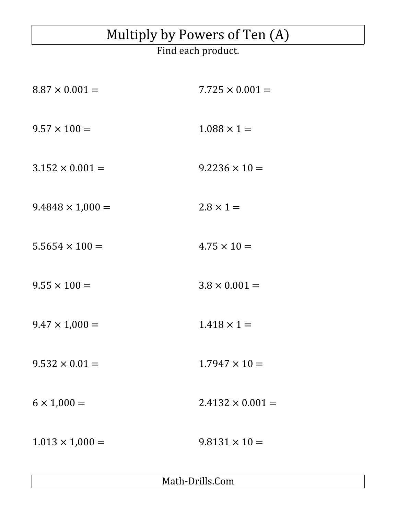## Multiply by Powers of Ten (A)

Find each product.

| $8.87 \times 0.001 =$   | $7.725 \times 0.001 =$  |
|-------------------------|-------------------------|
| $9.57 \times 100 =$     | $1.088 \times 1 =$      |
| $3.152 \times 0.001 =$  | $9.2236 \times 10 =$    |
| $9.4848 \times 1,000 =$ | $2.8 \times 1 =$        |
| $5.5654 \times 100 =$   | $4.75 \times 10 =$      |
| $9.55 \times 100 =$     | $3.8 \times 0.001 =$    |
| $9.47 \times 1,000 =$   | $1.418 \times 1 =$      |
| $9.532 \times 0.01 =$   | $1.7947 \times 10 =$    |
| $6 \times 1,000 =$      | $2.4132 \times 0.001 =$ |
| $1.013 \times 1,000 =$  | $9.8131 \times 10 =$    |
|                         |                         |

Math-Drills.Com